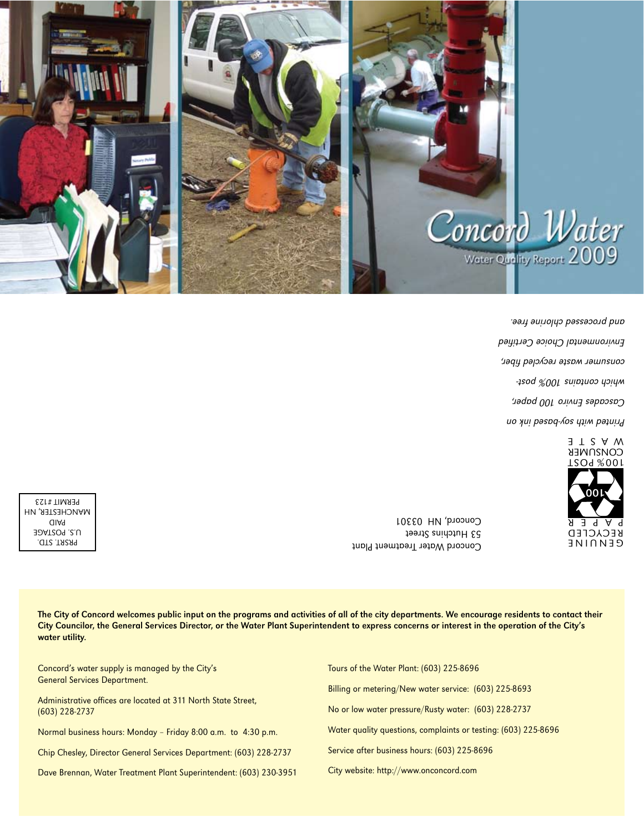

Printed with soprational and the Cascades Enviro 100 paper, which contains 100% postconsumer waste recycled fiber, Environmental Choice Certified and processed chlorine free.



Concord Water Ireatment Plant 53 Hutchins Street Concord, NH 03301

PRSRT. STD. U.S. POSTAGE PAID MANCHESTER, NH PERMIT #123

> The City of Concord welcomes public input on the programs and activities of all of the city departments. We encourage residents to contact their City Councilor, the General Services Director, or the Water Plant Superintendent to express concerns or interest in the operation of the City's water utility.

| Concord's water supply is managed by the City's<br><b>General Services Department.</b> | Tours of the Water Plant: (603) 225-8696                       |  |  |  |
|----------------------------------------------------------------------------------------|----------------------------------------------------------------|--|--|--|
|                                                                                        | Billing or metering/New water service: (603) 225-8693          |  |  |  |
| Administrative offices are located at 311 North State Street,<br>$(603)$ 228-2737      | No or low water pressure/Rusty water: (603) 228-2737           |  |  |  |
| Normal business hours: Monday - Friday 8:00 a.m. to 4:30 p.m.                          | Water quality questions, complaints or testing: (603) 225-8696 |  |  |  |
| Chip Chesley, Director General Services Department: (603) 228-2737                     | Service after business hours: (603) 225-8696                   |  |  |  |
| Dave Brennan, Water Treatment Plant Superintendent: (603) 230-3951                     | City website: http://www.onconcord.com                         |  |  |  |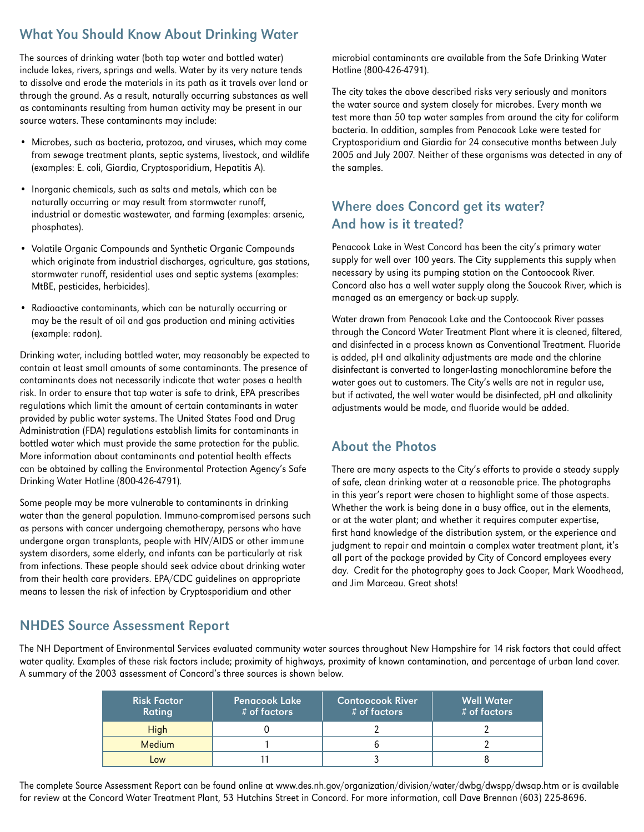## What You Should Know About Drinking Water

The sources of drinking water (both tap water and bottled water) include lakes, rivers, springs and wells. Water by its very nature tends to dissolve and erode the materials in its path as it travels over land or through the ground. As a result, naturally occurring substances as well as contaminants resulting from human activity may be present in our source waters. These contaminants may include:

- • Microbes, such as bacteria, protozoa, and viruses, which may come from sewage treatment plants, septic systems, livestock, and wildlife (examples: E. coli, Giardia, Cryptosporidium, Hepatitis A).
- • Inorganic chemicals, such as salts and metals, which can be naturally occurring or may result from stormwater runoff, industrial or domestic wastewater, and farming (examples: arsenic, phosphates).
- • Volatile Organic Compounds and Synthetic Organic Compounds which originate from industrial discharges, agriculture, gas stations, stormwater runoff, residential uses and septic systems (examples: MtBE, pesticides, herbicides).
- • Radioactive contaminants, which can be naturally occurring or may be the result of oil and gas production and mining activities (example: radon).

Drinking water, including bottled water, may reasonably be expected to contain at least small amounts of some contaminants. The presence of contaminants does not necessarily indicate that water poses a health risk. In order to ensure that tap water is safe to drink, EPA prescribes regulations which limit the amount of certain contaminants in water provided by public water systems. The United States Food and Drug Administration (FDA) regulations establish limits for contaminants in bottled water which must provide the same protection for the public. More information about contaminants and potential health effects can be obtained by calling the Environmental Protection Agency's Safe Drinking Water Hotline (800-426-4791).

Some people may be more vulnerable to contaminants in drinking water than the general population. Immuno-compromised persons such as persons with cancer undergoing chemotherapy, persons who have undergone organ transplants, people with HIV/AIDS or other immune system disorders, some elderly, and infants can be particularly at risk from infections. These people should seek advice about drinking water from their health care providers. EPA/CDC guidelines on appropriate means to lessen the risk of infection by Cryptosporidium and other

microbial contaminants are available from the Safe Drinking Water Hotline (800-426-4791).

The city takes the above described risks very seriously and monitors the water source and system closely for microbes. Every month we test more than 50 tap water samples from around the city for coliform bacteria. In addition, samples from Penacook Lake were tested for Cryptosporidium and Giardia for 24 consecutive months between July 2005 and July 2007. Neither of these organisms was detected in any of the samples.

## Where does Concord get its water? And how is it treated?

Penacook Lake in West Concord has been the city's primary water supply for well over 100 years. The City supplements this supply when necessary by using its pumping station on the Contoocook River. Concord also has a well water supply along the Soucook River, which is managed as an emergency or back-up supply.

Water drawn from Penacook Lake and the Contoocook River passes through the Concord Water Treatment Plant where it is cleaned, filtered, and disinfected in a process known as Conventional Treatment. Fluoride is added, pH and alkalinity adjustments are made and the chlorine disinfectant is converted to longer-lasting monochloramine before the water goes out to customers. The City's wells are not in regular use, but if activated, the well water would be disinfected, pH and alkalinity adjustments would be made, and fluoride would be added.

### About the Photos

There are many aspects to the City's efforts to provide a steady supply of safe, clean drinking water at a reasonable price. The photographs in this year's report were chosen to highlight some of those aspects. Whether the work is being done in a busy office, out in the elements, or at the water plant; and whether it requires computer expertise, first hand knowledge of the distribution system, or the experience and judgment to repair and maintain a complex water treatment plant, it's all part of the package provided by City of Concord employees every day. Credit for the photography goes to Jack Cooper, Mark Woodhead, and Jim Marceau. Great shots!

#### NHDES Source Assessment Report

The NH Department of Environmental Services evaluated community water sources throughout New Hampshire for 14 risk factors that could affect water quality. Examples of these risk factors include; proximity of highways, proximity of known contamination, and percentage of urban land cover. A summary of the 2003 assessment of Concord's three sources is shown below.

| <b>Risk Factor</b><br><b>Rating</b> | <b>Penacook Lake</b><br>$#$ of factors | <b>Contoocook River</b><br>$#$ of factors | <b>Well Water</b><br># of factors |
|-------------------------------------|----------------------------------------|-------------------------------------------|-----------------------------------|
| <b>High</b>                         |                                        |                                           |                                   |
| <b>Medium</b>                       |                                        |                                           |                                   |
| Low                                 |                                        |                                           |                                   |

The complete Source Assessment Report can be found online at www.des.nh.gov/organization/division/water/dwbg/dwspp/dwsap.htm or is available for review at the Concord Water Treatment Plant, 53 Hutchins Street in Concord. For more information, call Dave Brennan (603) 225-8696.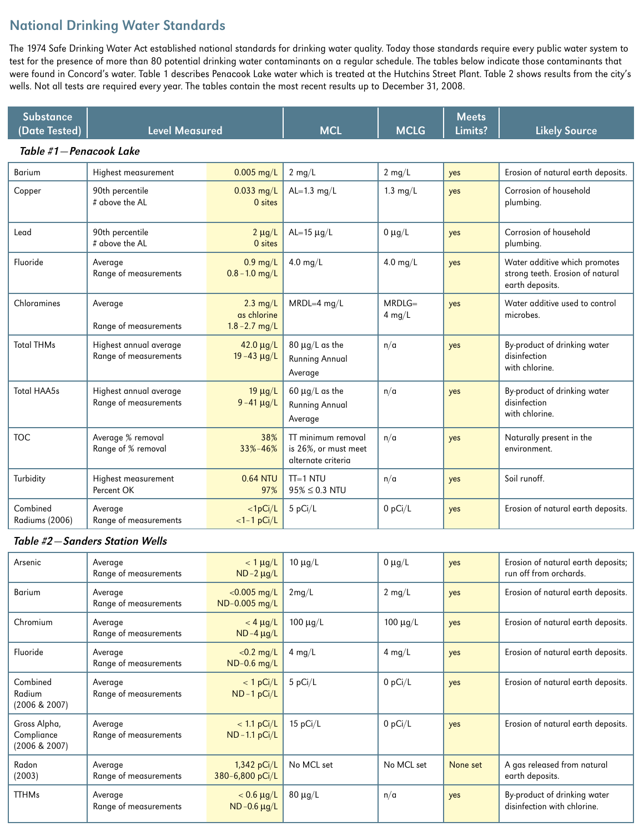# National Drinking Water Standards

The 1974 Safe Drinking Water Act established national standards for drinking water quality. Today those standards require every public water system to test for the presence of more than 80 potential drinking water contaminants on a regular schedule. The tables below indicate those contaminants that were found in Concord's water. Table 1 describes Penacook Lake water which is treated at the Hutchins Street Plant. Table 2 shows results from the city's wells. Not all tests are required every year. The tables contain the most recent results up to December 31, 2008.

| <b>Substance</b><br>(Date Tested) | <b>Level Measured</b>                           |                                                       | <b>MCL</b>                                                       | <b>MCLG</b>          | <b>Meets</b><br>Limits? | <b>Likely Source</b>                                                                 |
|-----------------------------------|-------------------------------------------------|-------------------------------------------------------|------------------------------------------------------------------|----------------------|-------------------------|--------------------------------------------------------------------------------------|
| Table #1-Penacook Lake            |                                                 |                                                       |                                                                  |                      |                         |                                                                                      |
| <b>Barium</b>                     | Highest measurement                             | $0.005$ mg/L                                          | $2 \text{ mg/L}$                                                 | $2$ mg/L             | yes                     | Erosion of natural earth deposits.                                                   |
| Copper                            | 90th percentile<br># above the AL               | $0.033$ mg/L<br>0 sites                               | AL= $1.3$ mg/L                                                   | $1.3 \text{ mg/L}$   | yes                     | Corrosion of household<br>plumbing.                                                  |
| Lead                              | 90th percentile<br># above the AL               | $2 \mu g/L$<br>0 sites                                | AL= $15 \mu g/L$                                                 | $0 \mu g/L$          | yes                     | Corrosion of household<br>plumbing.                                                  |
| Fluoride                          | Average<br>Range of measurements                | $0.9$ mg/L<br>$0.8 - 1.0$ mg/L                        | $4.0$ mg/L                                                       | $4.0 \text{ mg/L}$   | yes                     | Water additive which promotes<br>strong teeth. Erosion of natural<br>earth deposits. |
| Chloramines                       | Average<br>Range of measurements                | $2.3 \text{ mg/L}$<br>as chlorine<br>$1.8 - 2.7$ mg/L | $MRDL=4$ mg/L                                                    | $MRDLG=$<br>$4$ mg/L | yes                     | Water additive used to control<br>microbes.                                          |
| <b>Total THMs</b>                 | Highest annual average<br>Range of measurements | $42.0 \mu g/L$<br>$19 - 43 \mu g/L$                   | $80 \mu g/L$ as the<br><b>Running Annual</b><br>Average          | n/a                  | yes                     | By-product of drinking water<br>disinfection<br>with chlorine.                       |
| <b>Total HAA5s</b>                | Highest annual average<br>Range of measurements | $19 \mu g/L$<br>$9 - 41 \mu g/L$                      | 60 $\mu$ g/L as the<br><b>Running Annual</b><br>Average          | n/a                  | yes                     | By-product of drinking water<br>disinfection<br>with chlorine.                       |
| <b>TOC</b>                        | Average % removal<br>Range of % removal         | 38%<br>$33\% - 46\%$                                  | TT minimum removal<br>is 26%, or must meet<br>alternate criteria | n/a                  | yes                     | Naturally present in the<br>environment.                                             |
| Turbidity                         | Highest measurement<br>Percent OK               | <b>0.64 NTU</b><br>97%                                | $TI=1$ NTU<br>$95\% \le 0.3$ NTU                                 | n/a                  | yes                     | Soil runoff.                                                                         |
| Combined<br>Radiums (2006)        | Average<br>Range of measurements                | $<$ 1pCi/L<br>$<1-1$ pCi/L                            | 5 pCi/L                                                          | $0$ pCi/L            | yes                     | Erosion of natural earth deposits.                                                   |

#### Table #2—Sanders Station Wells

| Arsenic                                     | Average<br>Range of measurements | $<$ 1 $\mu$ g/L<br>$ND-2 \mu g/L$    | $10 \mu g/L$     | $0 \mu g/L$      | yes      | Erosion of natural earth deposits;<br>run off from orchards. |
|---------------------------------------------|----------------------------------|--------------------------------------|------------------|------------------|----------|--------------------------------------------------------------|
| <b>Barium</b>                               | Average<br>Range of measurements | $< 0.005$ mg/L<br>ND-0.005 mg/L      | 2mg/L            | $2 \text{ mg/L}$ | yes      | Erosion of natural earth deposits.                           |
| Chromium                                    | Average<br>Range of measurements | $<$ 4 $\mu$ g/L<br>$ND-4 \mu g/L$    | $100 \mu q/L$    | $100 \mu g/L$    | yes      | Erosion of natural earth deposits.                           |
| Fluoride                                    | Average<br>Range of measurements | $<$ 0.2 mg/L<br>$ND-0.6$ mg/L        | $4 \text{ mg/L}$ | $4 \text{ mg/L}$ | yes      | Erosion of natural earth deposits.                           |
| Combined<br>Radium<br>(2006 & 2007)         | Average<br>Range of measurements | $< 1$ pCi/L<br>$ND - 1 pCi/L$        | 5 pCi/L          | $0$ pCi/L        | yes      | Erosion of natural earth deposits.                           |
| Gross Alpha,<br>Compliance<br>(2006 & 2007) | Average<br>Range of measurements | $< 1.1$ pCi/L<br>$ND - 1.1 pCi/L$    | 15 $pCi/L$       | $0$ pCi/L        | yes      | Erosion of natural earth deposits.                           |
| Radon<br>(2003)                             | Average<br>Range of measurements | $1,342$ pCi/L<br>380-6,800 pCi/L     | No MCL set       | No MCL set       | None set | A gas released from natural<br>earth deposits.               |
| <b>TTHMs</b>                                | Average<br>Range of measurements | $< 0.6 \mu g/L$<br>$ND -0.6 \mu g/L$ | $80 \mu q/L$     | n/a              | yes      | By-product of drinking water<br>disinfection with chlorine.  |